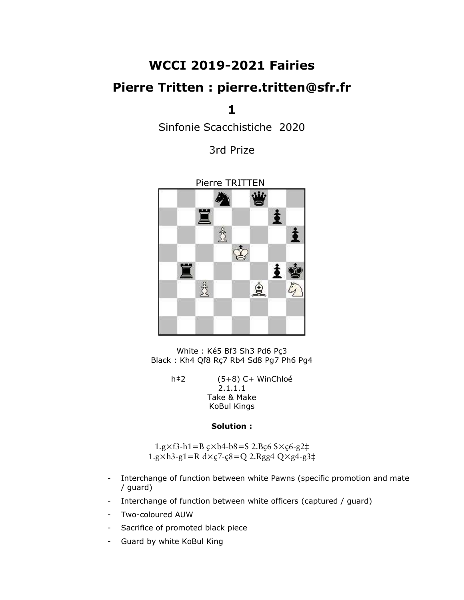# WCCI 2019-2021 Fairies

## Pierre Tritten : pierre.tritten@sfr.fr

1

Sinfonie Scacchistiche 2020

3rd Prize



White : Ké5 Bf3 Sh3 Pd6 Pç3 Black : Kh4 Qf8 Rç7 Rb4 Sd8 Pg7 Ph6 Pg4

> h‡2 (5+8) C+ WinChloé 2.1.1.1 Take & Make KoBul Kings

#### Solution :

 $1.g \times f3-h1 = B g \times b4-b8 = S 2.Bg6 S \times g6-g2 \ddagger$  $1.g \times h3-g1=R \, dx \, c7-c8=Q \, 2.Rgg4 \, Q \times g4-g3\ddagger$ 

- Interchange of function between white Pawns (specific promotion and mate / guard)
- Interchange of function between white officers (captured / guard)
- Two-coloured AUW
- Sacrifice of promoted black piece
- Guard by white KoBul King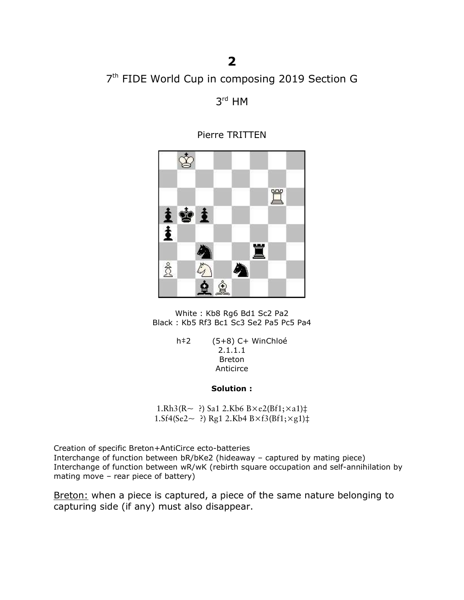## 7<sup>th</sup> FIDE World Cup in composing 2019 Section G

3 rd HM

✿ 罝 主會主 主 罝 贪 Ą ☝  $\dot{\mathbf{Q}}$ 

Pierre TRITTEN

White : Kb8 Rg6 Bd1 Sc2 Pa2 Black : Kb5 Rf3 Bc1 Sc3 Se2 Pa5 Pc5 Pa4

> h‡2 (5+8) C+ WinChloé 2.1.1.1 Breton Anticirce

> > Solution :

1.Rh3(R $\sim$  ?) Sa1 2.Kb6 B $\times$ e2(Bf1; $\times$ a1) $\ddagger$ 1.Sf4(Se2~ ?) Rg1 2.Kb4 B×f3(Bf1;×g1)‡

Creation of specific Breton+AntiCirce ecto-batteries Interchange of function between bR/bKe2 (hideaway – captured by mating piece) Interchange of function between wR/wK (rebirth square occupation and self-annihilation by mating move – rear piece of battery)

Breton: when a piece is captured, a piece of the same nature belonging to capturing side (if any) must also disappear.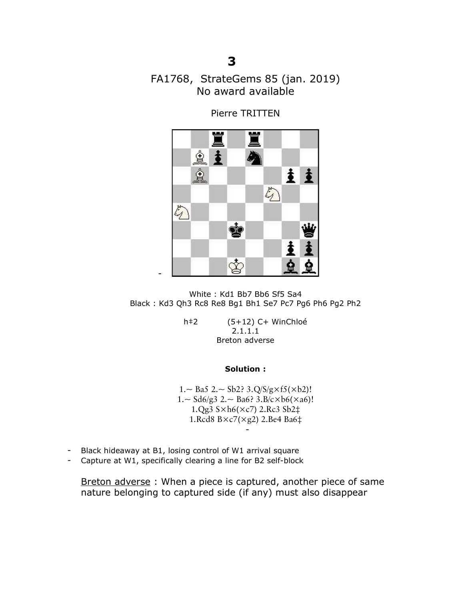## FA1768, StrateGems 85 (jan. 2019) No award available

Pierre TRITTEN



White : Kd1 Bb7 Bb6 Sf5 Sa4 Black : Kd3 Qh3 Rc8 Re8 Bg1 Bh1 Se7 Pc7 Pg6 Ph6 Pg2 Ph2

h‡2 (5+12) C+ WinChloé 2.1.1.1 Breton adverse

#### Solution :

1.~ Ba5 2.~ Sb2? 3. $Q/S/g \times f5(\times b2)$ !  $1.~\sim$  Sd6/g3 2. $\sim$  Ba6? 3.B/c $\times$ b6( $\times$ a6)! 1.Qg3 S×h6(×c7) 2.Rc3 Sb2‡ 1.Rcd8 B×c7(×g2) 2.Be4 Ba6‡ -

- Black hideaway at B1, losing control of W1 arrival square
- Capture at W1, specifically clearing a line for B2 self-block

Breton adverse : When a piece is captured, another piece of same nature belonging to captured side (if any) must also disappear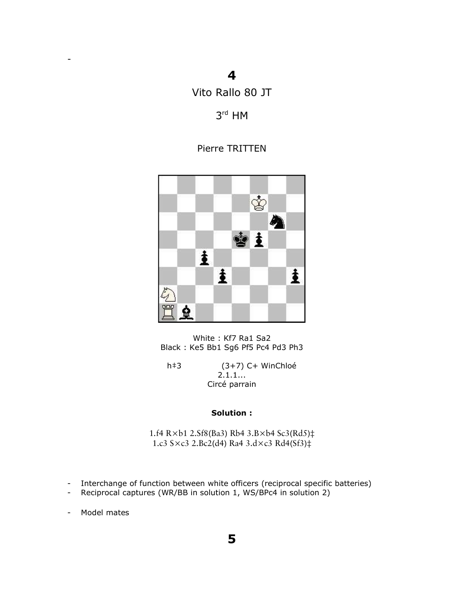### 4

Vito Rallo 80 JT

### 3 rd HM

### Pierre TRITTEN



#### White : Kf7 Ra1 Sa2 Black : Ke5 Bb1 Sg6 Pf5 Pc4 Pd3 Ph3

h‡3 (3+7) C+ WinChloé 2.1.1... Circé parrain

### Solution :

1.f4 R×b1 2.Sf8(Ba3) Rb4 3.B×b4 Sc3(Rd5)‡ 1.c3 S×c3 2.Bc2(d4) Ra4 3.d×c3 Rd4(Sf3)‡

- Interchange of function between white officers (reciprocal specific batteries)
- Reciprocal captures (WR/BB in solution 1, WS/BPc4 in solution 2)

- Model mates

-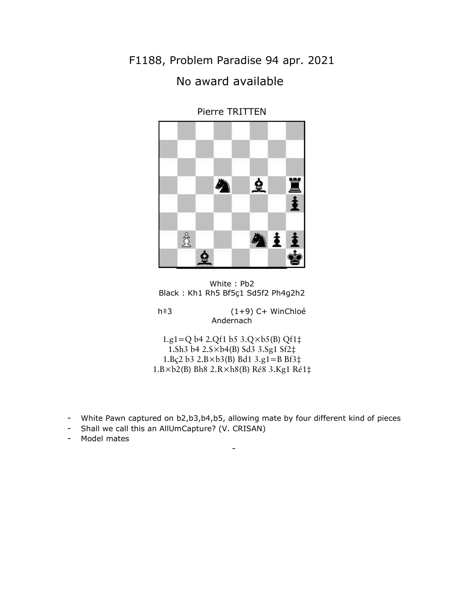F1188, Problem Paradise 94 apr. 2021 No award available



Pierre TRITTEN

h‡3 (1+9) C+ WinChloé Andernach

1.g1=Q b4 2.Qf1 b5  $3.Q \times b5(B)$  Qf1 $\ddagger$ 1.Sh3 b4 2.S×b4(B) Sd3 3.Sg1 Sf2‡ 1.Bç2 b3 2.B×b3(B) Bd1 3.g1=B Bf3‡ 1.B×b2(B) Bh8 2.R×h8(B) Ré8 3.Kg1 Ré1‡

- White Pawn captured on b2,b3,b4,b5, allowing mate by four different kind of pieces

-

- Shall we call this an AllUmCapture? (V. CRISAN)
- Model mates

White : Pb2 Black : Kh1 Rh5 Bf5ç1 Sd5f2 Ph4g2h2